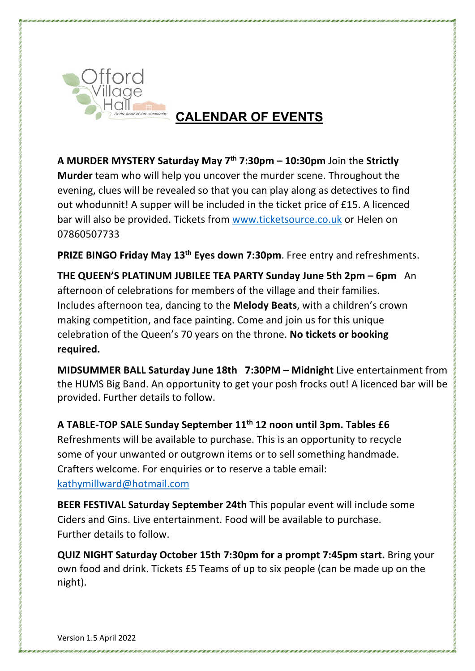

## **CALENDAR OF EVENTS**

**A MURDER MYSTERY Saturday May 7th 7:30pm – 10:30pm** Join the **Strictly Murder** team who will help you uncover the murder scene. Throughout the evening, clues will be revealed so that you can play along as detectives to find out whodunnit! A supper will be included in the ticket price of £15. A licenced bar will also be provided. Tickets from www.ticketsource.co.uk or Helen on 07860507733

**PRIZE BINGO Friday May 13th Eyes down 7:30pm**. Free entry and refreshments.

**THE QUEEN'S PLATINUM JUBILEE TEA PARTY Sunday June 5th 2pm – 6pm** An afternoon of celebrations for members of the village and their families. Includes afternoon tea, dancing to the **Melody Beats**, with a children's crown making competition, and face painting. Come and join us for this unique celebration of the Queen's 70 years on the throne. **No tickets or booking required.**

**MIDSUMMER BALL Saturday June 18th 7:30PM – Midnight** Live entertainment from the HUMS Big Band. An opportunity to get your posh frocks out! A licenced bar will be provided. Further details to follow.

**A TABLE-TOP SALE Sunday September 11th 12 noon until 3pm. Tables £6** Refreshments will be available to purchase. This is an opportunity to recycle some of your unwanted or outgrown items or to sell something handmade. Crafters welcome. For enquiries or to reserve a table email: kathymillward@hotmail.com

**BEER FESTIVAL Saturday September 24th** This popular event will include some Ciders and Gins. Live entertainment. Food will be available to purchase. Further details to follow.

**QUIZ NIGHT Saturday October 15th 7:30pm for a prompt 7:45pm start.** Bring your own food and drink. Tickets £5 Teams of up to six people (can be made up on the night).